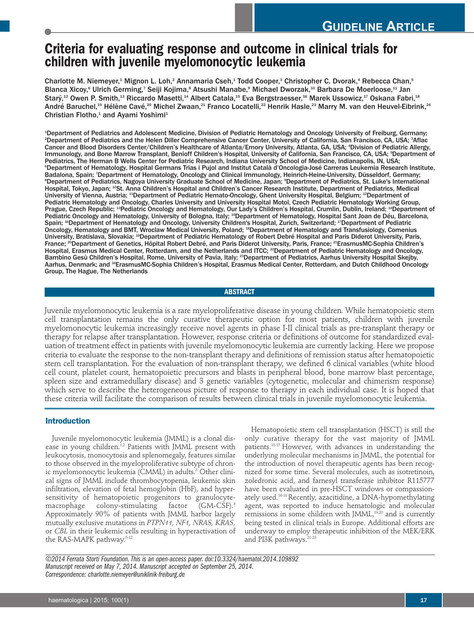# **Criteria for evaluating response and outcome in clinical trials for children with juvenile myelomonocytic leukemia**

Charlotte M. Niemeyer,<sup>1</sup> Mignon L. Loh,<sup>2</sup> Annamaria Cseh,<sup>1</sup> Todd Cooper,<sup>3</sup> Christopher C. Dvorak,<sup>4</sup> Rebecca Chan,<sup>5</sup> Blanca Xicoy,<sup>s</sup> Ulrich Germing,<sup>7</sup> Seiji Kojima,<sup>s</sup> Atsushi Manabe,<sup>s</sup> Michael Dworzak,<sup>10</sup> Barbara De Moerloose,<sup>11</sup> Jan Starý,<sup>12</sup> Owen P. Smith,<sup>13</sup> Riccardo Masetti,<sup>14</sup> Albert Catala,<sup>15</sup> Eva Bergstraesser,<sup>16</sup> Marek Ussowicz,<sup>17</sup> Oskana Fabri,<sup>18</sup> André Baruchel, $^\text{19}$  Hélène Cavé, $^\text{20}$  Michel Zwaan, $^\text{21}$  Franco Locatelli, $^\text{22}$  Henrik Hasle, $^\text{23}$  Marry M. van den Heuvel-Eibrink, $^\text{24}$ Christian Flotho,<sup>1</sup> and Ayami Yoshimi<sup>1</sup>

1 Department of Pediatrics and Adolescent Medicine, Division of Pediatric Hematology and Oncology University of Freiburg, Germany; 2 Department of Pediatrics and the Helen Diller Comprehensive Cancer Center, University of California, San Francisco, CA, USA; <sup>3</sup> Aflac Cancer and Blood Disorders Center/Children's Healthcare of Atlanta/Emory University, Atlanta, GA, USA; <sup>4</sup> Division of Pediatric Allergy, Immunology, and Bone Marrow Transplant, Benioff Children's Hospital, University of California, San Francisco, CA, USA; <sup>5</sup>Department of Pediatrics, The Herman B Wells Center for Pediatric Research, Indiana University School of Medicine, Indianapolis, IN, USA; 6 Department of Hematology, Hospital Germans Trias i Pujol and Institut Català d'Oncologia-José Carreras Leukemia Research Institute, Badalona, Spain; <sup>7</sup> Department of Hematology, Oncology and Clinical Immunology, Heinrich-Heine-University, Düsseldorf, Germany; ®Department of Pediatrics, Nagoya University Graduate School of Medicine, Japan; ®Department of Pediatrics, St. Luke's International Hospital, Tokyo, Japan; <sup>10</sup>St. Anna Children's Hospital and Children's Cancer Research Institute, Department of Pediatrics, Medical University of Vienna, Austria; <sup>11</sup>Department of Pediatric Hemato-Oncology, Ghent University Hospital, Belgium; <sup>12</sup>Department of Pediatric Hematology and Oncology, Charles University and University Hospital Motol, Czech Pediatric Hematology Working Group, Prague, Czech Republic; <sup>13</sup>Pediatric Oncology and Hematology, Our Lady's Children's Hospital, Crumlin, Dublin, Ireland; <sup>14</sup>Department of Pediatric Oncology and Hematology, University of Bologna, Italy; <sup>15</sup>Department of Hematology, Hospital Sant Joan de Déu, Barcelona, Spain; <sup>16</sup> Department of Hematology and Oncology, University Children's Hospital, Zurich, Switzerland; <sup>17</sup> Department of Pediatric Oncology, Hematology and BMT, Wroclaw Medical University, Poland; <sup>18</sup>Department of Hematology and Transfusiology, Comenius University, Bratislava, Slovakia; <sup>19</sup>Department of Pediatric Hematology of Robert Debré Hospital and Paris Diderot University, Paris, France; <sup>20</sup>Department of Genetics, Hôpital Robert Debré, and Paris Diderot University, Paris, France; <sup>21</sup>ErasmusMC-Sophia Children's Hospital, Erasmus Medical Center, Rotterdam, and the Netherlands and ITCC; <sup>22</sup>Department of Pediatric Hematology and Oncology, Bambino Gesù Children's Hospital, Rome, University of Pavia, Italy; <sup>23</sup>Department of Pediatrics, Aarhus University Hospital Skejby, Aarhus, Denmark; and <sup>24</sup>ErasmusMC-Sophia Children's Hospital, Erasmus Medical Center, Rotterdam, and Dutch Childhood Oncology Group, The Hague, The Netherlands

**ABSTRACT**

Juvenile myelomonocytic leukemia is a rare myeloproliferative disease in young children. While hematopoietic stem cell transplantation remains the only curative therapeutic option for most patients, children with juvenile myelomonocytic leukemia increasingly receive novel agents in phase I-II clinical trials as pre-transplant therapy or therapy for relapse after transplantation. However, response criteria or definitions of outcome for standardized evaluation of treatment effect in patients with juvenile myelomonocytic leukemia are currently lacking. Here we propose criteria to evaluate the response to the non-transplant therapy and definitions of remission status after hematopoietic stem cell transplantation. For the evaluation of non-transplant therapy, we defined 6 clinical variables (white blood cell count, platelet count, hematopoietic precursors and blasts in peripheral blood, bone marrow blast percentage, spleen size and extramedullary disease) and 3 genetic variables (cytogenetic, molecular and chimerism response) which serve to describe the heterogeneous picture of response to therapy in each individual case. It is hoped that these criteria will facilitate the comparison of results between clinical trials in juvenile myelomonocytic leukemia.

# **Introduction**

Juvenile myelomonocytic leukemia (JMML) is a clonal disease in young children.<sup>1,2</sup> Patients with JMML present with leukocytosis, monocytosis and splenomegaly, features similar to those observed in the myeloproliferative subtype of chronic myelomonocytic leukemia (CMML) in adults. <sup>3</sup> Other clinical signs of JMML include thrombocytopenia, leukemic skin infiltration, elevation of fetal hemoglobin (HbF), and hypersensitivity of hematopoietic progenitors to granulocytemacrophage colony-stimulating factor  $(GM-CSF).<sup>4</sup>$ Approximately 90% of patients with JMML harbor largely mutually exclusive mutations in *PTPN11, NF1, NRAS, KRAS,* or *CBL* in their leukemic cells resulting in hyperactivation of the RAS-MAPK pathway.<sup>5-12</sup>

Hematopoietic stem cell transplantation (HSCT) is still the only curative therapy for the vast majority of JMML patients. 13-15 However, with advances in understanding the underlying molecular mechanisms in JMML, the potential for the introduction of novel therapeutic agents has been recognized for some time. Several molecules, such as isotretinoin, zoledronic acid, and farnesyl transferase inhibitor R115777 have been evaluated in pre-HSCT windows or compassionately used. 16-18Recently, azacitidine, a DNA-hypomethylating agent, was reported to induce hematologic and molecular remissions in some children with JMML, $^{19,20}$  and is currently being tested in clinical trials in Europe. Additional efforts are underway to employ therapeutic inhibition of the MEK/ERK and PI3K pathways. 21-23

*©2014 Ferrata Storti Foundation.This is an open-access paper.doi:10.3324/haematol.2014.109892 Manuscript received on May 7, 2014. Manuscript accepted on September 25, 2014. Correspondence: charlotte.niemeyer@uniklinik-freiburg.de*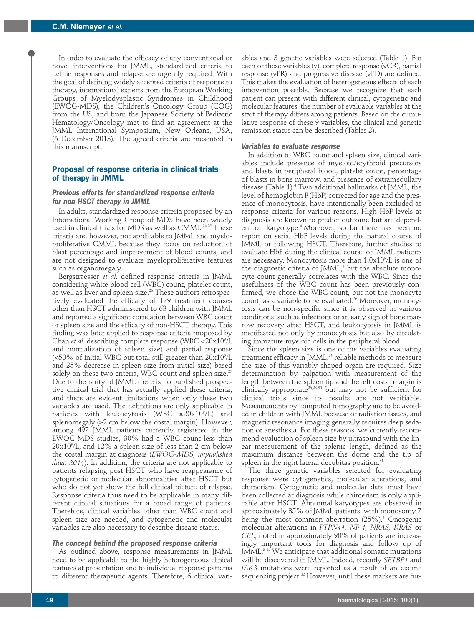In order to evaluate the efficacy of any conventional or novel interventions for JMML, standardized criteria to define responses and relapse are urgently required. With the goal of defining widely accepted criteria of response to therapy, international experts from the European Working Groups of Myelodysplastic Syndromes in Childhood (EWOG-MDS), the Children's Oncology Group (COG) from the US, and from the Japanese Society of Pediatric Hematology/Oncology met to find an agreement at the JMML International Symposium, New Orleans, USA, (6 December 2013). The agreed criteria are presented in this manuscript.

## **Proposal of response criteria in clinical trials of therapy in JMML**

## *Previous efforts for standardized response criteria for non-HSCT therapy in JMML*

In adults, standardized response criteria proposed by an International Working Group of MDS have been widely used in clinical trials for MDS as well as CMML. 24,25 These criteria are, however, not applicable to JMML and myeloproliferative CMML because they focus on reduction of blast percentage and improvement of blood counts, and are not designed to evaluate myeloproliferative features such as organomegaly.

Bergstraesser *et al*. defined response criteria in JMML considering white blood cell (WBC) count, platelet count, as well as liver and spleen size. <sup>26</sup> These authors retrospectively evaluated the efficacy of 129 treatment courses other than HSCT administered to 63 children with JMML and reported a significant correlation between WBC count or spleen size and the efficacy of non-HSCT therapy. This finding was later applied to response criteria proposed by Chan *et al*. describing complete response (WBC <20x109 /L and normalization of spleen size) and partial response (<50% of initial WBC but total still greater than 20x10°/L and 25% decrease in spleen size from initial size) based solely on these two criteria, WBC count and spleen size. $^{27}$ Due to the rarity of JMML there is no published prospective clinical trial that has actually applied these criteria, and there are evident limitations when only these two variables are used. The definitions are only applicable in patients with leukocytosis (WBC ≥20x109 /L) and splenomegaly  $(\geq 2 \text{ cm}$  below the costal margin). However, among 497 JMML patients currently registered in the EWOG-MDS studies, 30% had a WBC count less than 20x109 /L, and 12% a spleen size of less than 2 cm below the costal margin at diagnosis (*EWOG-MDS, unpublished data, 2014*). In addition, the criteria are not applicable to patients relapsing post HSCT who have reappearance of cytogenetic or molecular abnormalities after HSCT but who do not yet show the full clinical picture of relapse. Response criteria thus need to be applicable in many different clinical situations for a broad range of patients. Therefore, clinical variables other than WBC count and spleen size are needed, and cytogenetic and molecular variables are also necessary to describe disease status.

## *The concept behind the proposed response criteria*

As outlined above, response measurements in JMML need to be applicable to the highly heterogeneous clinical features at presentation and to individual response patterns to different therapeutic agents. Therefore, 6 clinical variables and 3 genetic variables were selected (Table 1). For each of these variables (v), complete response (vCR), partial response (vPR) and progressive disease (vPD) are defined. This makes the evaluation of heterogeneous effects of each intervention possible. Because we recognize that each patient can present with different clinical, cytogenetic and molecular features, the number of evaluable variables at the start of therapy differs among patients. Based on the cumulative response of these 9 variables, the clinical and genetic remission status can be described (Tables 2).

### *Variables to evaluate response*

In addition to WBC count and spleen size, clinical variables include presence of myeloid/erythroid precursors and blasts in peripheral blood, platelet count, percentage of blasts in bone marrow, and presence of extramedullary disease (Table 1). <sup>4</sup> Two additional hallmarks of JMML, the level of hemoglobin F (HbF) corrected for age and the presence of monocytosis, have intentionally been excluded as response criteria for various reasons. High HbF levels at diagnosis are known to predict outcome but are dependent on karyotype. <sup>4</sup> Moreover, so far there has been no report on serial HbF levels during the natural course of JMML or following HSCT. Therefore, further studies to evaluate HbF during the clinical course of JMML patients are necessary. Monocytosis more than  $1.0 \mathrm{x} 10^{\circ}/\mathrm{L}$  is one of the diagnostic criteria of JMML, <sup>4</sup> but the absolute monocyte count generally correlates with the WBC. Since the usefulness of the WBC count has been previously confirmed, we chose the WBC count, but not the monocyte count, as a variable to be evaluated. <sup>26</sup> Moreover, monocytosis can be non-specific since it is observed in various conditions, such as infections or an early sign of bone marrow recovery after HSCT, and leukocytosis in JMML is manifested not only by monocytosis but also by circulating immature myeloid cells in the peripheral blood.

Since the spleen size is one of the variables evaluating treatment efficacy in JMML, <sup>26</sup> reliable methods to measure the size of this variably shaped organ are required. Size determination by palpation with measurement of the length between the spleen tip and the left costal margin is clinically appropriate<sup>26,28-30</sup> but may not be sufficient for clinical trials since its results are not verifiable. Measurements by computed tomography are to be avoided in children with JMML because of radiation issues, and magnetic resonance imaging generally requires deep sedation or anesthesia. For these reasons, we currently recommend evaluation of spleen size by ultrasound with the linear measurement of the splenic length, defined as the maximum distance between the dome and the tip of spleen in the right lateral decubitas position. 31

The three genetic variables selected for evaluating response were cytogenetics, molecular alterations, and chimerism. Cytogenetic and molecular data must have been collected at diagnosis while chimerism is only applicable after HSCT. Abnormal karyotypes are observed in approximately 35% of JMML patients, with monosomy 7 being the most common aberration (25%). <sup>4</sup> Oncogenic molecular alterations in *PTPN11, NF-1, NRAS, KRAS* or *CBL*, noted in approximately 90% of patients are increasingly important tools for diagnosis and follow up of JMML. 5-12 We anticipate that additional somatic mutations will be discovered in JMML. Indeed, recently *SETBP1* and *JAK3* mutations were reported as a result of an exome sequencing project. <sup>32</sup> However, until these markers are fur-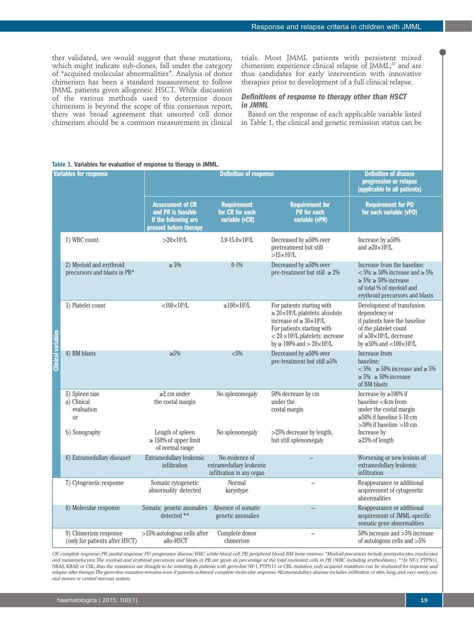ther validated, we would suggest that these mutations, which might indicate sub-clones, fall under the category of "acquired molecular abnormalities". Analysis of donor chimerism has been a standard measurement to follow JMML patients given allogeneic HSCT. While discussion of the various methods used to determine donor chimerism is beyond the scope of this consensus report, there was broad agreement that unsorted cell donor chimerism should be a common measurement in clinical trials. Most JMML patients with persistent mixed chimerism experience clinical relapse of JMML, <sup>33</sup> and are thus candidates for early intervention with innovative therapies prior to development of a full clinical relapse.

## *Definitions of response to therapy other than HSCT in JMML*

Based on the response of each applicable variable listed in Table 1, the clinical and genetic remission status can be

| <b>Variables for response</b> |                                                          | <b>Definition of response</b>                                                                   |                                                                        |                                                                                                                                                                                                                                                      | <b>Definition of disease</b><br>progression or relapse<br>(applicable to all patients)                                                                                                     |
|-------------------------------|----------------------------------------------------------|-------------------------------------------------------------------------------------------------|------------------------------------------------------------------------|------------------------------------------------------------------------------------------------------------------------------------------------------------------------------------------------------------------------------------------------------|--------------------------------------------------------------------------------------------------------------------------------------------------------------------------------------------|
|                               |                                                          | <b>Assessment of CR</b><br>and PR is feasible<br>if the following are<br>present before therapy | <b>Requirement</b><br>for CR for each<br>variable (vCR)                | <b>Requirement for</b><br><b>PR</b> for each<br>variable (vPR)                                                                                                                                                                                       | <b>Requirement for PD</b><br>for each variable (vPD)                                                                                                                                       |
|                               | 1) WBC count                                             | $>\!\!20\!\times\!10^{\circ}\!\!/\!\mathrm{L}$                                                  | $3.0 - 15.0 \times 10^{9}$ /L                                          | Decreased by $\geq 50\%$ over<br>pretreatment but still<br>$>15\times10^9$ /L                                                                                                                                                                        | Increase by $\geq 50\%$<br>and $\geq 20 \times 10^9$ /L                                                                                                                                    |
|                               | 2) Myeloid and erythroid<br>precursors and blasts in PB* | $\geq 5\%$                                                                                      | $0-1%$                                                                 | Decreased by $\geq 50\%$ over<br>pre-treatment but still $\geq 2\%$                                                                                                                                                                                  | Increase from the baseline:<br>$<5\% \geq 50\%$ increase and $\geq 5\%$<br>$\geq 5\%$ : $\geq 50\%$ increase<br>of total % of myeloid and<br>erythroid precursors and blasts               |
|                               | 3) Platelet count                                        | $< 100 \times 10^{9}$ L                                                                         | $\geq$ 100 $\times$ 10 <sup>9</sup> /L                                 | For patients starting with<br>$\geq 20 \times 10^9$ /L platelets: absolute<br>increase of $\geq 30 \times 10^{9}/L$<br>For patients starting with<br>$<$ 20 $\times$ 10 <sup>9</sup> /L platelets: increase<br>$by \ge 100\%$ and $> 20 \times 10\%$ | Development of transfusion<br>dependency or<br>if patients have the baseline<br>of the platelet count<br>of $\geq 30 \times 10^9$ /L, decrease<br>by $\geq 50\%$ and $< 100 \times 10\%$ L |
| <b>Clinical variables</b>     | 4) BM blasts                                             | $\geq 5\%$                                                                                      | $< 5\%$                                                                | Decreased by $\geq 50\%$ over<br>pre-treatment but still $\geq 5\%$                                                                                                                                                                                  | Increase from<br>baseline;<br>$< 5\%$ : $\geq 50\%$ increase and $\geq 5\%$<br>$\geq 5\%$ : $\geq 50\%$ increase<br>of BM blasts                                                           |
|                               | 5) Spleen size<br>a) Clinical<br>evaluation<br>or        | $\geq$ 2 cm under<br>the costal margin                                                          | No splenomegaly                                                        | 50% decrease by cm<br>under the<br>costal margin                                                                                                                                                                                                     | Increase by $\geq$ 100% if<br>baseline $<$ 4 $cm$ from<br>under the costal margin<br>$\geq$ 50% if baseline 5-10 cm<br>$>30\%$ if baseline $>10$ cm                                        |
|                               | b) Sonography                                            | Length of spleen<br>$\geq$ 150% of upper limit<br>of normal range                               | No splenomegaly                                                        | >25% decrease by length,<br>but still splenomegaly                                                                                                                                                                                                   | Increase by<br>$\geq$ 25% of length                                                                                                                                                        |
|                               | 6) Extramedullary disease#                               | Extramedullary leukemic<br>infiltration                                                         | No evidence of<br>extramedullary leukemic<br>infiltration in any organ |                                                                                                                                                                                                                                                      | Worsening or new lesions of<br>extramedullary leukemic<br>infiltration                                                                                                                     |
|                               | 7) Cytogenetic response                                  | Somatic cytogenetic<br>abnormality detected                                                     | Normal<br>karyotype                                                    |                                                                                                                                                                                                                                                      | Reappearance or additional<br>acquirement of cytogenetic<br>abnormalities                                                                                                                  |
|                               | 8) Molecular response                                    | Somatic genetic anomalies<br>detected **                                                        | Absence of somatic<br>genetic anomalies                                |                                                                                                                                                                                                                                                      | Reappearance or additional<br>acquirement of JMML-specific<br>somatic gene abnormalities                                                                                                   |
|                               | 9) Chimerism response<br>(only for patients after HSCT)  | >15% autologous cells after<br>allo-HSCT                                                        | Complete donor<br>chimerism                                            |                                                                                                                                                                                                                                                      | 50% increase and >5% increase<br>of autologous cells and >5%                                                                                                                               |

#### Table 1. Variables for evaluation of response to therapy in JMML.

CR: complete response; PR: partial response; PD: progressive disease; WBC: white blood cell; PB: peripheral blood; BM: bone marrow. \*Myeloid precursors include promyelocytes, myelocytes and metamyelocytes. The myeloid and erythroid precursors and blasts in PB are given as percentage of the total nucleated cells in PB (WBC including erythroblasts). \*\*In NF-1, PTPN11, NRAS, KRAS, or CBL, thus the mutations are thought to be initiating. In patients with germ-line NF-1, PTPN11 or CBL mutation, only acquired mutations can be evaluated for response and relapse after therapy. The germ-line mutation remains even if patients achieved complete molecular response. #Extramedullary disease includes infiltration of skin, lung, and, very rarely, cra*nial nerves or central nervous system.*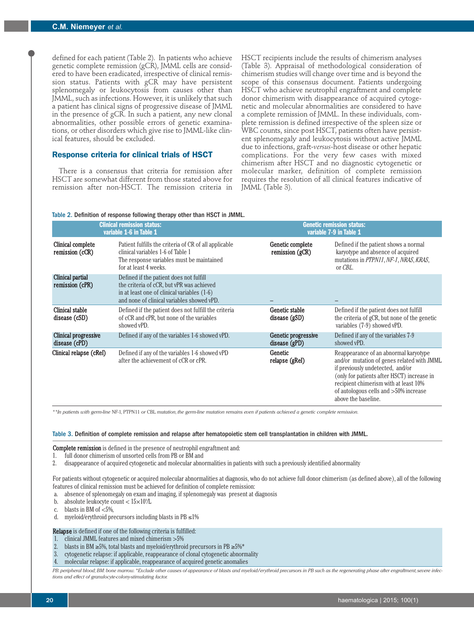defined for each patient (Table 2). In patients who achieve genetic complete remission (gCR), JMML cells are considered to have been eradicated, irrespective of clinical remission status. Patients with gCR may have persistent splenomegaly or leukocytosis from causes other than JMML, such as infections. However, it is unlikely that such a patient has clinical signs of progressive disease of JMML in the presence of gCR. In such a patient, any new clonal abnormalities, other possible errors of genetic examinations, or other disorders which give rise to JMML-like clinical features, should be excluded.

## **Response criteria for clinical trials of HSCT**

There is a consensus that criteria for remission after HSCT are somewhat different from those stated above for remission after non-HSCT. The remission criteria in

HSCT recipients include the results of chimerism analyses (Table 3). Appraisal of methodological consideration of chimerism studies will change over time and is beyond the scope of this consensus document. Patients undergoing HSCT who achieve neutrophil engraftment and complete donor chimerism with disappearance of acquired cytogenetic and molecular abnormalities are considered to have a complete remission of JMML. In these individuals, complete remission is defined irrespective of the spleen size or WBC counts, since post HSCT, patients often have persistent splenomegaly and leukocytosis without active JMML due to infections, graft-*versus*-host disease or other hepatic complications. For the very few cases with mixed chimerism after HSCT and no diagnostic cytogenetic or molecular marker, definition of complete remission requires the resolution of all clinical features indicative of JMML (Table 3).

#### Table 2. Definition of response following therapy other than HSCT in JMML.

|                                       | <b>Clinical remission status:</b><br>variable 1-6 in Table 1                                                                                                                      | <b>Genetic remission status:</b><br>variable 7-9 in Table 1 |                                                                                                                                                                                                                                                                                |  |
|---------------------------------------|-----------------------------------------------------------------------------------------------------------------------------------------------------------------------------------|-------------------------------------------------------------|--------------------------------------------------------------------------------------------------------------------------------------------------------------------------------------------------------------------------------------------------------------------------------|--|
| Clinical complete<br>remission (cCR)  | Patient fulfills the criteria of CR of all applicable<br>clinical variables 1-6 of Table 1<br>The response variables must be maintained<br>for at least 4 weeks.                  | Genetic complete<br>remission $(gCR)$                       | Defined if the patient shows a normal<br>karyotype and absence of acquired<br>mutations in PTPN11, NF-1, NRAS, KRAS,<br>or CBL.                                                                                                                                                |  |
| Clinical partial<br>remission (cPR)   | Defined if the patient does not fulfill<br>the criteria of cCR, but vPR was achieved<br>in at least one of clinical variables (1-6)<br>and none of clinical variables showed vPD. |                                                             |                                                                                                                                                                                                                                                                                |  |
| Clinical stable<br>disease (cSD)      | Defined if the patient does not fulfill the criteria<br>of cCR and cPR, but none of the variables<br>showed vPD.                                                                  | Genetic stable<br>disease (gSD)                             | Defined if the patient does not fulfill<br>the criteria of gCR, but none of the genetic<br>variables (7-9) showed vPD.                                                                                                                                                         |  |
| Clinical progressive<br>disease (cPD) | Defined if any of the variables 1-6 showed vPD.                                                                                                                                   | Genetic progressive<br>disease $(gPD)$                      | Defined if any of the variables 7-9<br>showed vPD.                                                                                                                                                                                                                             |  |
| Clinical relapse (cReI)               | Defined if any of the variables 1-6 showed vPD<br>after the achievement of cCR or cPR.                                                                                            | Genetic<br>relapse (gRel)                                   | Reappearance of an abnormal karyotype<br>and/or mutation of genes related with JMML<br>if previously undetected, and/or<br>(only for patients after HSCT) increase in<br>recipient chimerism with at least 10%<br>of autologous cells and >50% increase<br>above the baseline. |  |

\*\*In patients with germ-line NF-1, PTPN11 or CBL mutation, the germ-line mutation remains even if patients achieved a genetic complete remission

Table 3. Definition of complete remission and relapse after hematopoietic stem cell transplantation in children with JMML.

**Complete remission** is defined in the presence of neutrophil engraftment and:

- 1. full donor chimerism of unsorted cells from PB or BM and
- 2. disappearance of acquired cytogenetic and molecular abnormalities in patients with such a previously identified abnormality

For patients without cytogenetic or acquired molecular abnormalities at diagnosis, who do not achieve full donor chimerism (as defined above), all of the following features of clinical remission must be achieved for definition of complete remission:

- a. absence of splenomegaly on exam and imaging, if splenomegaly was present at diagnosis
- b. absolute leukocyte count <  $15 \times 10^9$ /L
- c. blasts in BM of  $<5\%$ ,
- d. myeloid/erythroid precursors including blasts in  $PB \le 1\%$

Relapse is defined if one of the following criteria is fulfilled:

- 1. clinical JMML features and mixed chimerism  $>5\%$
- 2. blasts in BM ≥5%, total blasts and myeloid/erythroid precursors in PB ≥5%\* cytogenetic relapse: if applicable, reappearance of clonal cytogenetic abnor
- cytogenetic relapse: if applicable, reappearance of clonal cytogenetic abnormality
- 4. molecular relapse: if applicable, reappearance of acquired genetic anomalies

PB: peripheral blood; BM: bone marrow. \*Exclude other causes of appearance of blasts and myeloid/erythroid precursors in PB such as the regenerating phase after engraftment, severe infect *tions and effect of granulocyte-colony-stimulating factor.*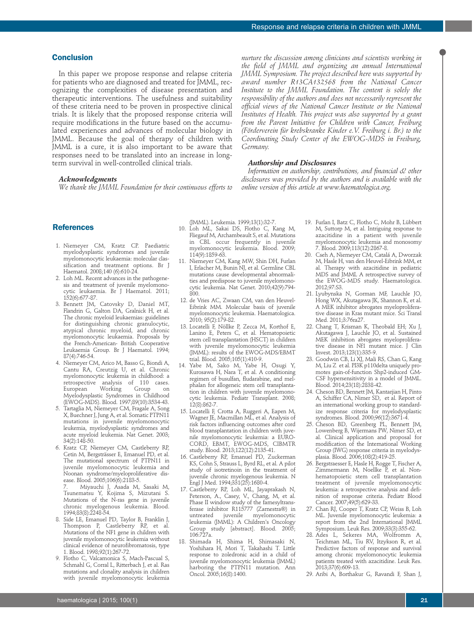# **Conclusion**

In this paper we propose response and relapse criteria for patients who are diagnosed and treated for JMML, recognizing the complexities of disease presentation and therapeutic interventions. The usefulness and suitability of these criteria need to be proven in prospective clinical trials. It is likely that the proposed response criteria will require modifications in the future based on the accumulated experiences and advances of molecular biology in JMML. Because the goal of therapy of children with JMML is a cure, it is also important to be aware that responses need to be translated into an increase in longterm survival in well-controlled clinical trials.

# *Acknowledgments*

*We thank the JMML Foundation for their continuous efforts to*

*nurture the discussion among clinicians and scientists working in the field of JMML and organizing an annual International JMML Symposium. The project described here was supported by award number R13CA132568 from the National Cancer Institute to the JMML Foundation. The content is solely the responsibility of the authors and does not necessarily represent the official views of the National Cancer Institute or the National Institutes of Health. This project was also supported by a grant from the Parent Initiative for Children with Cancer, Freiburg (Förderverein für krebskranke Kinder e.V. Freiburg i. Br.) to the Coordinating Study Center of the EWOG-MDS in Freiburg, Germany.*

## *Authorship and Disclosures*

*Information on authorship, contributions, and financial & other disclosures was provided by the authors and is available with the online version of this article at www.haematologica.org.*

# **References**

- 1. Niemeyer CM, Kratz CP. Paediatric myelodysplastic syndromes and juvenile myelomonocytic leukaemia: molecular classification and treatment options. Br J Haematol. 2008;140 (6):610-24.
- 2. Loh ML. Recent advances in the pathogenesis and treatment of juvenile myelomonocytic leukaemia. Br J Haematol. 2011; 152(6):677-87.
- 3. Bennett JM, Catovsky D, Daniel MT, Flandrin G, Galton DA, Gralnick H, et al. The chronic myeloid leukaemias: guidelines for distinguishing chronic granulocytic, atypical chronic myeloid, and chronic myelomonocytic leukaemia. Proposals by the French-American- British Cooperative Leukaemia Group. Br J Haematol. 1994; 87(4):746-54.
- 4. Niemeyer CM, Arico M, Basso G, Biondi A, Cantu RA, Creutzig U, et al. Chronic myelomonocytic leukemia in childhood: a retrospective analysis of 110 cases. European Working Group on Myelodysplastic Syndromes in Childhood (EWOG-MDS). Blood. 1997;89(10):3534-43.
- 5. Tartaglia M, Niemeyer CM, Fragale A, Song X, Buechner J, Jung A, et al. Somatic PTPN11 mutations in juvenile myelomonocytic leukemia, myelodysplastic syndromes and acute myeloid leukemia. Nat Genet. 2003; 34(2):148-50.
- 6. Kratz CP, Niemeyer CM, Castleberry RP, Cetin M, Bergsträsser E, Emanuel PD, et al. The mutational spectrum of PTPN11 in juvenile myelomonocytic leukemia and Noonan syndrome/myeloproliferative disease. Blood. 2005;106(6):2183-5.
- 7. Miyauchi J, Asada M, Sasaki M, Tsunematsu Y, Kojima S, Mizutani S. Mutations of the N-ras gene in juvenile chronic myelogenous leukemia. Blood. 1994;83(8):2248-54.
- 8. Side LE, Emanuel PD, Taylor B, Franklin J, Thompson P, Castleberry RP, et al. Mutations of the NF1 gene in children with juvenile myelomonocytic leukemia without clinical evidence of neurofibromatosis, type 1. Blood. 1998;92(1):267-72.
- 9. Flotho C, Valcamonica S, Mach-Pascual S, Schmahl G, Corral L, Ritterbach J, et al. Ras mutations and clonality analysis in children with juvenile myelomonocytic leukemia

(JMML). Leukemia. 1999;13(1):32-7.

- 10. Loh ML, Sakai DS, Flotho C, Kang M, Fliegauf M, Archambeault S, et al. Mutations in CBL occur frequently in juvenile myelomonocytic leukemia. Blood. 2009; 114(9):1859-63.
- 11. Niemeyer CM, Kang MW, Shin DH, Furlan I, Erlacher M, Bunin NJ, et al. Germline CBL mutations cause developmental abnormalities and predispose to juvenile myelomonocytic leukemia. Nat Genet. 2010;42(9):794- 800.
- 12. de Vries AC, Zwaan CM, van den Heuvel-Eibrink MM. Molecular basis of juvenile myelomonocytic leukemia. Haematologica.  $2010 \cdot 95(2) \cdot 179 - 82$
- 13. Locatelli F, Nöllke P, Zecca M, Korthof E, Lanino E, Peters C, et al. Hematopoietic stem cell transplantation (HSCT) in children with juvenile myelomonocytic leukemia (JMML): results of the EWOG-MDS/EBMT trial. Blood. 2005;105(1):410-9.
- 14. Yabe M, Sako M, Yabe H, Osugi Y, Kurosawa H, Nara T, et al. A conditioning regimen of busulfan, fludarabine, and melphalan for allogeneic stem cell transplantation in children with juvenile myelomonocytic leukemia. Pediatr Transplant. 2008; 12(8):862-7.
- 15. Locatelli F, Crotta A, Ruggeri A, Eapen M, Wagner JE, Macmillan ML, et al. Analysis of risk factors influencing outcomes after cord blood transplantation in children with juvenile myelomonocytic leukemia: a EURO-CORD, EBMT, EWOG-MDS, CIBMTR study. Blood. 2013;122(12):2135-41.
- 16. Castleberry RP, Emanuel PD, Zuckerman KS, Cohn S, Strauss L, Byrd RL, et al. A pilot study of isotretinoin in the treatment of juvenile chronic myelogenous leukemia. N Engl J Med. 1994;331(25):1680-4.
- 17. Castleberry RP, Loh ML, Jayaprakash N, Peterson, A., Casey, V., Chang, M, et al. Phase II window study of the farnesyltransferase inhibitor R115777 (Zarnestra®) in juvenile myelomonocytic leukemia (JMML): A Children's Oncology Group study [abstract]. Blood. 2005; 106:727a.
- 18. Shimada H, Shima H, Shimasaki N, Yoshihara H, Mori T, Takahashi T. Little response to zoledronic acid in a child of juvenile myelomonocytic leukemia (JMML) harboring the PTPN11 mutation. Ann Oncol. 2005;16(8):1400.
- 19. Furlan I, Batz C, Flotho C, Mohr B, Lübbert M, Suttorp M, et al. Intriguing response to azacitidine in a patient with juvenile myelomonocytic leukemia and monosomy 7. Blood. 2009;113(12):2867-8.
- 20. Cseh A, Niemeyer CM, Catalá A, Dworzak M, Hasle H, van den Heuvel-Eibrink MM, et al. Therapy with azacitidine in pediatric MDS and JMML A retrospective survey of the EWOG-MDS study. Haematologica. 2012;97:S3.
- 21. Lyubynska N, Gorman MF, Lauchle JO, Hong WX, Akutagawa JK, Shannon K, et al. A MEK inhibitor abrogates myeloproliferative disease in Kras mutant mice. Sci Transl Med. 2011;3:76ra27.
- 22. Chang T, Krisman K, Theobald EH; Xu J, Akutagawa J, Lauchle JO, et al. Sustained MEK inhibition abrogates myeloproliferative disease in Nf1 mutant mice. J Clin Invest. 2013;123(1):335-9.
- 23. Goodwin CB, Li XJ, Mali RS, Chan G, Kang M, Liu Z et al. PI3K p110delta uniquely promotes gain-of-function Shp2-induced GM-CSF hypersensitivity in a model of JMML. Blood. 2014;23(18):2838-42.
- 24. Cheson BD, Bennett JM, Kantarjian H, Pinto A, Schiffer CA, Nimer SD, et al. Report of an international working group to standardize response criteria for myelodysplastic syndromes. Blood. 2000;96(12):3671-4.
- 25. Cheson BD, Greenberg PL, Bennett JM, Lowenberg B, Wijermans PW, Nimer SD, et al. Clinical application and proposal for modification of the International Working Group (IWG) response criteria in myelodysplasia. Blood. 2006;108(2):419-25.
- 26. Bergstraesser E, Hasle H, Rogge T, Fischer A, Zimmermann M, Noellke P, et al. Nonhematopoietic stem cell transplantation treatment of juvenile myelomonocytic leukemia: a retrospective analysis and definition of response criteria. Pediatr Blood Cancer. 2007;49(5):629-33.
- 27. Chan RJ, Cooper T, Kratz CP, Weiss B, Loh ML. Juvenile myelomonocytic leukemia: a report from the 2nd International JMML Symposium. Leuk Res. 2009;33(3):355-62.
- 28. Ades L, Sekeres MA, Wolfromm A, Teichman ML, Tiu RV, Itzykson R, et al. Predictive factors of response and survival among chronic myelomonocytic leukemia patients treated with azacitidine. Leuk Res. 2013;37(6):609-13.
- 29. Aribi A, Borthakur G, Ravandi F, Shan J,